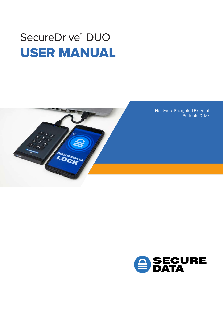# SecureDrive<sup>®</sup> DUO USER MANUAL



Hardware Encrypted External Portable Drive

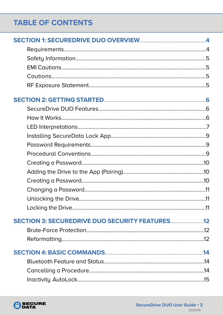# **TABLE OF CONTENTS**

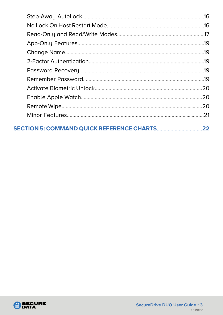| <b>SECTION 5: COMMAND QUICK REFERENCE CHARTS</b> | 22 |
|--------------------------------------------------|----|

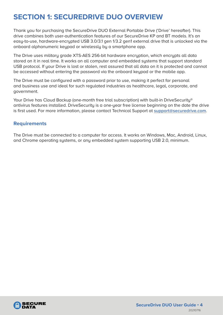# <span id="page-3-0"></span>**SECTION 1: SECUREDRIVE DUO OVERVIEW**

Thank you for purchasing the SecureDrive DUO External Portable Drive ('Drive' hereafter). This drive combines both user-authentication features of our SecureDrive KP and BT models. It's an easy-to-use, hardware-encrypted USB 3.0/3.1 gen 1/3.2 gen1 external drive that is unlocked via the onboard alphanumeric keypad or wirelessly by a smartphone app.

The Drive uses militaru grade XTS-AES 256-bit hardware encruption, which encrupts all data stored on it in real time. It works on all computer and embedded systems that support standard USB protocol. If your Drive is lost or stolen, rest assured that all data on it is protected and cannot be accessed without entering the password via the onboard keypad or the mobile app.

The Drive must be configured with a password prior to use, making it perfect for personal and business use and ideal for such regulated industries as healthcare, legal, corporate, and government.

Your Drive has Cloud Backup (one-month free trial subscription) with built-in DriveSecurity® antivirus features installed. DriveSecurity is a one-year free license beginning on the date the drive is first used. For more information, please contact Technical Support at **support@securedrive.com**.

#### **Requirements**

The Drive must be connected to a computer for access. It works on Windows, Mac, Android, Linux, and Chrome operating systems, or any embedded system supporting USB 2.0, minimum.

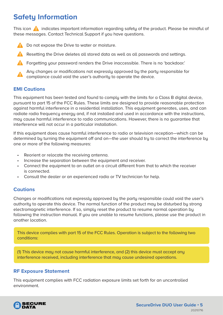# <span id="page-4-0"></span>**Safety Information**

This icon  $\Box$  indicates important information regarding safety of the product. Please be mindful of these messages. Contact Technical Support if you have questions.



- **A** Resetting the Drive deletes all stored data as well as all passwords and settings.
- **A** Forgetting your password renders the Drive inaccessible. There is no 'backdoor.'



#### **EMI Cautions**

This equipment has been tested and found to comply with the limits for a Class B digital device, pursuant to part 15 of the FCC Rules. These limits are designed to provide reasonable protection against harmful interference in a residential installation. This equipment generates, uses, and can radiate radio frequency energy and, if not installed and used in accordance with the instructions, may cause harmful interference to radio communications. However, there is no guarantee that interference will not occur in a particular installation.

If this equipment does cause harmful interference to radio or television reception—which can be determined by turning the equipment off and on—the user should try to correct the interference by one or more of the following measures:

- Reorient or relocate the receiving antenna.
- Increase the separation between the equipment and receiver.
- Connect the equipment to an outlet on a circuit different from that to which the receiver is connected.
- Consult the dealer or an experienced radio or TV technician for help.

#### **Cautions**

Changes or modifications not expressly approved by the party responsible could void the user's authority to operate this device. The normal function of the product may be disturbed by strong electromagnetic interference. If so, simply reset the product to resume normal operation by following the instruction manual. If you are unable to resume functions, please use the product in another location.

This device complies with part 15 of the FCC Rules. Operation is subject to the following two conditions:

(1) This device may not cause harmful interference, and (2) this device must accept any interference received, including interference that may cause undesired operations.

#### **RF Exposure Statement**

This equipment complies with FCC radiation exposure limits set forth for an uncontrolled environment.

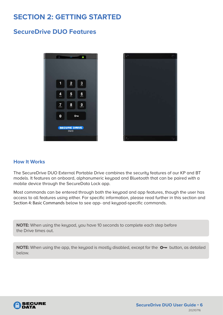# <span id="page-5-0"></span>**SECTION 2: GETTING STARTED**

#### **SecureDrive DUO Features**





#### **How It Works**

The SecureDrive DUO External Portable Drive combines the security features of our KP and BT models. It features an onboard, alphanumeric keypad and Bluetooth that can be paired with a mobile device through the SecureData Lock app.

Most commands can be entered through both the keypad and app features, though the user has access to all features using either. For specific information, please read further in this section and Section 4: Basic Commands below to see app- and keypad-specific commands.

**NOTE:** When using the keypad, you have 10 seconds to complete each step before the Drive times out.

**NOTE:** When using the app, the keypad is mostly disabled, except for the  $Q_{\text{m}}$  button, as detailed below.

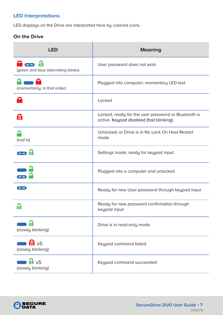#### <span id="page-6-0"></span>**LED Interpretations**

LED displays on the Drive are interpreted here by colored icons.

#### **On the Drive**

| <b>LED</b>                                       | <b>Meaning</b>                                                                                 |
|--------------------------------------------------|------------------------------------------------------------------------------------------------|
| (green and blue alternating blinks)              | User password does not exist                                                                   |
| (momentarily, in that order)                     | Plugged into computer; momentary LED test                                                      |
|                                                  | Locked                                                                                         |
| 台                                                | Locked, ready for the user password or Bluetooth is<br>active. Keypad disabled (fast blinking) |
| (half lit)                                       | Unlocked; or Drive is in No Lock On Host Restart<br>mode                                       |
| $\Box$                                           | Settings mode; ready for keypad input                                                          |
|                                                  | Plugged into a computer and unlocked                                                           |
| --                                               | Ready for new User password through keypad input                                               |
|                                                  | Ready for new password confirmation through<br>keypad input                                    |
| (slowly blinking)                                | Drive is in read-only mode                                                                     |
| $\mathbf{a}$ x <sub>5</sub><br>(slowly blinking) | Keypad command failed                                                                          |
| $a^2 \times 5$<br>(slowly blinking)              | Keypad command succeeded                                                                       |

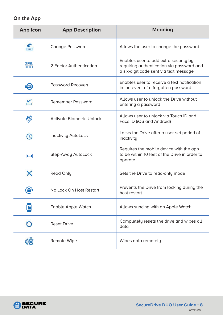#### **On the App**

| <b>App Icon</b>      | <b>App Description</b>           | <b>Meaning</b>                                                                                                               |
|----------------------|----------------------------------|------------------------------------------------------------------------------------------------------------------------------|
|                      | <b>Change Password</b>           | Allows the user to change the password                                                                                       |
| 2FA                  | 2-Factor Authentication          | Enables user to add extra security by<br>requiring authentication via password and<br>a six-digit code sent via text message |
| $\frac{1}{\sqrt{2}}$ | Password Recovery                | Enables user to receive a text notification<br>in the event of a forgotten password                                          |
|                      | <b>Remember Password</b>         | Allows user to unlock the Drive without<br>entering a password                                                               |
| 劢                    | <b>Activate Biometric Unlock</b> | Allows user to unlock vig Touch ID and<br>Face ID (iOS and Android)                                                          |
|                      | <b>Inactivity AutoLock</b>       | Locks the Drive after a user-set period of<br>inactivity                                                                     |
| ↔                    | Step-Away AutoLock               | Requires the mobile device with the app<br>to be within 10 feet of the Drive in order to<br>operate                          |
|                      | <b>Read Only</b>                 | Sets the Drive to read-only mode                                                                                             |
|                      | No Lock On Host Restart          | Prevents the Drive from locking during the<br>host restart                                                                   |
|                      | <b>Enable Apple Watch</b>        | Allows syncing with an Apple Watch                                                                                           |
|                      | <b>Reset Drive</b>               | Completely resets the drive and wipes all<br>data                                                                            |
|                      | Remote Wipe                      | Wipes data remotely                                                                                                          |

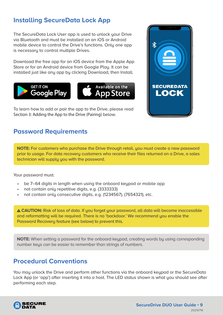### <span id="page-8-0"></span>**Installing SecureData Lock App**

The SecureData Lock User app is used to unlock your Drive via Bluetooth and must be installed on an iOS or Android mobile device to control the Drive's functions. Only one app is necessary to control multiple Drives.

Download the free app for an iOS device from the Apple App Store or for an Android device from Google Play. It can be installed just like any app by clicking Download, then Install.



To learn how to add or pair the app to the Drive, please read Section 3: Adding the App to the Drive (Pairing) below.

### **Password Requirements**

**NOTE:** For customers who purchase the Drive through retail, you must create a new password prior to usage. For data recovery customers who receive their files returned on a Drive, a sales technician will supply you with the password.

Your password must:

- be 7–64 digits in length when using the onboard keypad or mobile app
- not contain only repetitive digits, e.g. (3333333)
- not contain only consecutive digits, e.g. (1234567), (7654321), etc.

 **CAUTION:** Risk of loss of data. If you forget your password, all data will become inaccessible and reformatting will be required. There is no 'backdoor.' We recommend you enable the Password Recovery feature (see below) to prevent this.

**NOTE:** When setting a password for the onboard keypad, creating words by using corresponding number keys can be easier to remember than strings of numbers.

### **Procedural Conventions**

You may unlock the Drive and perform other functions via the onboard keypad or the SecureData Lock App (or 'app') after inserting it into a host. The LED status shown is what you should see after performing each step.



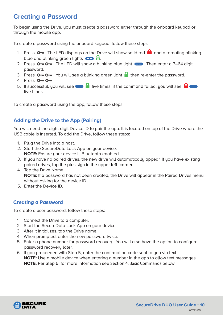### <span id="page-9-0"></span>**Creating a Password**

To begin using the Drive, you must create a password either through the onboard keypad or through the mobile app.

To create a password using the onboard keupad, follow these steps:

- 1. Press  $\circ$  . The LED displays on the Drive will show solid red  $\bullet$  and alternating blinking blue and blinking green lights  $\Box$   $\Box$
- 2. Press  $\circ$   $\circ$   $\circ$ . The LED will show a blinking blue light  $\circ$   $\circ$ . Then enter a 7–64 digit password.
- 3. Press  $\circ$   $\circ$   $\circ$   $\circ$   $\circ$  You will see a blinking green light  $\circ$  then re-enter the password.
- 4. Press  $O O -$ .
- 5. If successful, you will see  $\blacksquare$  five times; if the command failed, you will see  $\blacksquare$ five times.

To create a password using the app, follow these steps:

#### **Adding the Drive to the App (Pairing)**

You will need the eight-digit Device ID to pair the app. It is located on top of the Drive where the USB cable is inserted. To add the Drive, follow these steps:

- 1. Plug the Drive into a host.
- 2. Start the SecureData Lock App on your device. **NOTE:** Ensure your device is Bluetooth-enabled.
- 3. If you have no paired drives, the new drive will automatically appear. If you have existing paired drives, tap the plus sign in the upper left corner.
- 4. Tap the Drive Name.

**NOTE:** If a password has not been created, the Drive will appear in the Paired Drives menu without asking for the device ID.

5. Enter the Device ID.

#### **Creating a Password**

To create a user password, follow these steps:

- 1. Connect the Drive to a computer.
- 2. Start the SecureData Lock App on your device.
- 3. After it initializes, tap the Drive name.
- 4. When prompted, enter the new password twice.
- 5. Enter a phone number for password recovery. You will also have the option to configure password recovery later.
- 6. If you proceeded with Step 5, enter the confirmation code sent to you via text. **NOTE:** Use a mobile device when entering a number in the app to allow text messages. **NOTE:** Per Step 5, for more information see Section 4: Basic Commands below.

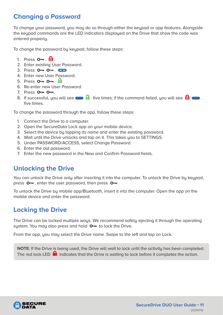### <span id="page-10-0"></span>**Changing a Password**

To change your password, you may do so through either the keypad or app features. Alongside the keypad commands are the LED indicators displayed on the Drive that show the code was entered properly.

To change the password by keypad, follow these steps:

- 1. Press  $O_{\overline{11}}$ .  $\overline{H}$
- 2. Enter existing User Password.
- 3. Press  $O O -$ .  $CD$
- 4. Enter new User Password.
- 5. Press  $O O 1$
- 6. Re-enter new User Password.
- 7. Press  $0 0 1$ .
- 8. If successful, you will see  $\blacksquare$  five times; if the command failed, you will see  $\blacksquare$ five times.

To change the password through the app, follow these steps:

- 1. Connect the Drive to a computer.
- 2. Open the SecureData Lock app on your mobile device.
- 3. Select the device by tapping its name and enter the existing password.
- 4. Wait until the Drive unlocks and tap on it. This takes you to SETTINGS.
- 5. Under PASSWORD/ACCESS, select Change Password.
- 6. Enter the old password.
- 7. Enter the new password in the New and Confirm Password fields.

### **Unlocking the Drive**

You can unlock the Drive only after inserting it into the computer. To unlock the Drive by keypad, press  $\circ$   $\bullet$ , enter the user password, then press  $\circ$   $\bullet$ .

To unlock the Drive by mobile app/Bluetooth, insert it into the computer. Open the app on the mobile device and enter the password.

### **Locking the Drive**

The Drive can be locked multiple ways. We recommend safely ejecting it through the operating system. You may also press and hold  $O -$  to lock the Drive.

From the app, you may select the Drive name. Swipe to the left and tap on Lock.

**NOTE**: If the Drive is being used, the Drive will wait to lock until the activity has been completed. The red lock LED  $\blacksquare$  indicates that the Drive is waiting to lock before it completes the action.

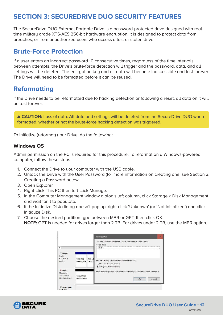### <span id="page-11-0"></span>**SECTION 3: SECUREDRIVE DUO SECURITY FEATURES**

The SecureDrive DUO External Portable Drive is a password-protected drive designed with realtime military grade XTS-AES 256-bit hardware encryption. It is designed to protect data from breaches, or from unauthorized users who access a lost or stolen drive.

### **Brute-Force Protection**

If a user enters an incorrect password 10 consecutive times, regardless of the time intervals between attempts, the Drive's brute-force detection will trigger and the password, data, and all settings will be deleted. The encryption key and all data will become inaccessible and lost forever. The Drive will need to be formatted before it can be reused.

### **Reformatting**

If the Drive needs to be reformatted due to hacking detection or following a reset, all data on it will be lost forever.

 **CAUTION:** Loss of data. All data and settings will be deleted from the SecureDrive DUO when formatted, whether or not the brute-force hacking detection was triggered.

To initialize (reformat) your Drive, do the following:

#### **Windows OS**

Admin permission on the PC is required for this procedure. To reformat on a Windows-powered computer, follow these steps:

- 1. Connect the Drive to your computer with the USB cable.
- 2. Unlock the Drive with the User Password (for more information on creating one, see Section 3: Creating a Password below.
- 3. Open Explorer.
- 4. Right-click This PC then left-click Manage.
- 5. In the Computer Management window dialog's left column, click Storage > Disk Management and wait for it to populate.
- 6. If the Initialize Disk dialog doesn't pop up, right-click 'Unknown' (or 'Not Initialized') and click Initialize Disk.
- 7. Choose the desired partition type between MBR or GPT, then click OK. **NOTE:** GPT is needed for drives larger than 2 TB. For drives under 2 TB, use the MBR option.

|                                            |                           |                 | $\overline{\mathbf{x}}$<br><b>Initialize Disk</b>                                                                      |
|--------------------------------------------|---------------------------|-----------------|------------------------------------------------------------------------------------------------------------------------|
| Ł.                                         |                           |                 | You must initialize a disk before Logical Disk Manager can access it.<br>Select disks<br>$\nu$ :Disk 1                 |
| $-$ Disk 0<br>Basic<br>931.39 GB<br>Online | 1000 MB<br>Healthy (Re    | 260 M<br>Health | Use the following partition style for the selected disks<br>( ) MBR (Master Boot Record)<br>GPT (GUID Partition Table) |
| *O Disk 1                                  |                           |                 |                                                                                                                        |
| Unknown<br>1863.02 GB<br>Not Initialized   | 1863.02 GB<br>Unallocated |                 | Note. The GPT partition style is not recognized by all previous versions of Windows.<br>OK<br>Cancel                   |
| <b>CD-ROM 0</b><br>DUD (DA                 |                           |                 |                                                                                                                        |

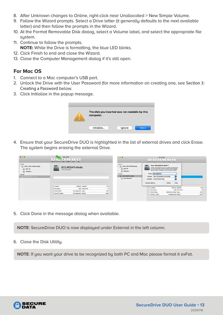- 8. After Unknown changes to Online, right-click near Unallocated > New Simple Volume.
- 9. Follow the Wizard prompts. Select a Drive letter (it generally defaults to the next available letter) and then follow the prompts in the Wizard.
- 10. At the Format Removable Disk dialog, select a Volume label, and select the appropriate file system.
- 11. Continue to follow the prompts. **NOTE:** While the Drive is formatting, the blue LED blinks.
- 12. Click Finish to end and close the Wizard.
- 13. Close the Computer Management dialog if it's still open.

#### **For Mac OS**

- 1. Connect to a Mac computer's USB port.
- 2. Unlock the Drive with the User Password (for more information on creating one, see Section 3: Creating a Password below.
- 3. Click Initialize in the popup message.

| The disk you inserted was not readable by this<br>computer. |        |       |
|-------------------------------------------------------------|--------|-------|
| Initialize                                                  | Ignore | Elect |

4. Ensure that your SecureDrive DUO is highlighted in the list of external drives and click Erase. The system begins erasing the external Drive.

| 0.0.0                                                                                                         | Disk Utility<br>$-49$<br>œ.<br>First Aid Partment<br><b>Grass</b> | $^{\circ}$<br><b>D.</b><br>$\circ$<br><b>Trifo</b><br><b>Rostore</b><br>Mount |                    |       | □ □ ■                                                                                                                     | Disk Utility<br>$25 - 5 - 5 - 5 - 0$<br>157.8833333333<br>Hyg.Alg Putthen Stone, westore Mount  who                                                                                                                                                                                                                                       |
|---------------------------------------------------------------------------------------------------------------|-------------------------------------------------------------------|-------------------------------------------------------------------------------|--------------------|-------|---------------------------------------------------------------------------------------------------------------------------|-------------------------------------------------------------------------------------------------------------------------------------------------------------------------------------------------------------------------------------------------------------------------------------------------------------------------------------------|
| <b>Antacrust</b><br>V C APPLE SSD TS512B Media<br>a<br>Mec OS<br>回<br>Windows<br>External<br>SECUREDATA Vieda | 1 TB Uninitalized                                                 | A CHARLES COMPANY AND RESIDENCE TO A CO-<br><b>SECUREDATA Media</b>           |                    |       | Internal<br>APPLE SSD TSS12S Media<br>w.<br>Mac OS<br>Windows<br>Diterral<br>SECUREDATA Media<br><b>IV</b><br>SECUREDRIVE | Erase "SECUREDATA Media"?<br>brasing "SECUREDATA Mesis" will delice all data slaved<br>on b, and cannot be undone. Provide a rame, choose a<br>partition rises and former, and older kings to proceed.<br>Name: SECUREDRIVE<br>Format:   Mac DS Extended (Journaled)<br>Scheme: GUID Partition Map<br>Cancel<br>Eraso<br>Security Options |
|                                                                                                               | Location                                                          |                                                                               | External Capacity: | 1TB   |                                                                                                                           |                                                                                                                                                                                                                                                                                                                                           |
|                                                                                                               | Connection:                                                       | <b>USB</b>                                                                    | Child count:       |       |                                                                                                                           | Locations<br>External Capacity:<br>118.                                                                                                                                                                                                                                                                                                   |
|                                                                                                               | <b>Partition Map:</b>                                             | Not Supported Type:                                                           |                    | Disk  |                                                                                                                           | USB Child coant:<br><b>Connections</b>                                                                                                                                                                                                                                                                                                    |
|                                                                                                               | S.M.A.R.T. status:                                                | Not Supported Device:                                                         |                    | diskt |                                                                                                                           | Disk<br>GUID Partiller Mag Type:<br>Parktick Map:<br>the Baltimore and International Arts                                                                                                                                                                                                                                                 |
|                                                                                                               |                                                                   |                                                                               |                    |       |                                                                                                                           | <b>cisat</b><br>Net Supported Device<br>SMART SWeet                                                                                                                                                                                                                                                                                       |

5. Click Done in the message dialog when available.

**NOTE**: SecureDrive DUO is now displayed under External in the left column.

6. Close the Disk Utility.

**NOTE**: If you want your drive to be recognized by both PC and Mac please format it exFat.

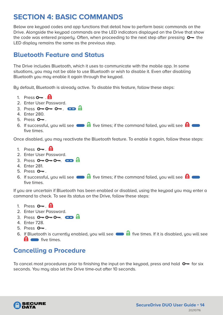# <span id="page-13-0"></span>**SECTION 4: BASIC COMMANDS**

Below are keypad codes and app functions that detail how to perform basic commands on the Drive. Alongside the keypad commands are the LED indicators displayed on the Drive that show the code was entered properly. Often, when proceeding to the next step after pressing  $\bullet$  the LED display remains the same as the previous step.

### **Bluetooth Feature and Status**

The Drive includes Bluetooth, which it uses to communicate with the mobile app. In some situations, you may not be able to use Bluetooth or wish to disable it. Even after disabling Bluetooth you may enable it again through the keypad.

By default, Bluetooth is already active. To disable this feature, follow these steps:

- 1. Press  $\mathbf{O}_{\mathbf{m}}$   $\mathbf{H}$
- 2. Enter User Password.
- 3. Press  $O O O -$ .  $CD =$
- 4. Enter 280.
- 5. Press  $O_{\overline{m}}$ .
- 6. If successful, you will see  $\blacksquare$  five times; if the command failed, you will see  $\blacksquare$ five times.

Once disabled, you may reactivate the Bluetooth feature. To enable it again, follow these steps:

- 1. Press  $\mathbf{O}_{\mathbf{m}}$   $\mathbf{\Theta}$
- 2. Enter User Password.
- 3. Press  $O \rightarrow O \rightarrow O \rightarrow \bullet$ .  $CD$   $\oplus$
- 4. Enter 281.
- $5.$  Press  $0 1$ .
- 6. If successful, you will see  $\blacksquare$  five times; if the command failed, you will see  $\blacksquare$ five times.

If you are uncertain if Bluetooth has been enabled or disabled, using the keypad you may enter a command to check. To see its status on the Drive, follow these steps:

- 1. Press  $O_{\overline{m}}$   $\overline{H}$
- 2. Enter User Password.
- 3. Press  $O O O -$ .  $CD =$
- 4. Enter 728.
- 5. Press  $O_{\overline{m}}$ .
- 6. If Bluetooth is currently enabled, you will see  $\Box$  five times. If it is disabled, you will see **f** ive times.

### **Cancelling a Procedure**

To cancel most procedures prior to finishing the input on the keypad, press and hold  $\bullet$  for six seconds. You may also let the Drive time-out after 10 seconds.

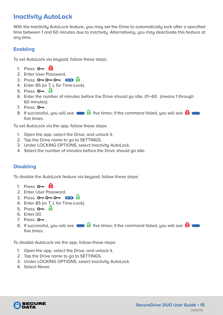# <span id="page-14-0"></span>**Inactivity AutoLock**

With the Inactivity AutoLock feature, you may set the Drive to automatically lock after a specified time between 1 and 60 minutes due to inactivity. Alternatively, you may deactivate this feature at any time.

#### **Enabling**

To set AutoLock via keypad, follow these steps:

- 1. Press  $\mathbf{O}$   $\blacksquare$   $\blacksquare$
- 2. Enter User Password.
- 3. Press  $O O O -$ .  $CD = \frac{1}{2}$
- 4. Enter 85 (or T, L for Time-Lock).
- 5. Press  $\mathbf{O}$ <sub>7</sub>.  $\mathbf{H}$
- 6. Enter the number of minutes before the Drive should go idle, 01–60. (means 1 through 60 minutes).
- 7. Press  $O_{\overline{m}}$ .
- 8. If successful, you will see  $\blacksquare$  five times; if the command failed, you will see  $\blacksquare$ five times.

To set AutoLock via the app, follow these steps:

- 1. Open the app, select the Drive, and unlock it.
- 2. Tap the Drive name to go to SETTINGS.
- 3. Under LOCKING OPTIONS, select Inactivity AutoLock.
- 4. Select the number of minutes before the Drive should go idle.

#### **Disabling**

To disable the AutoLock feature via keypad, follow these steps:

- 1. Press  $\mathbf{O}_{\mathbf{m}}$ .  $\mathbf{\Theta}$
- 2. Enter User Password.
- 3. Press  $O \rightarrow O \rightarrow O \rightarrow$ .  $CD$   $\oplus$
- 4. Enter 85 (or T, L for Time-Lock).
- 5. Press  $\mathbf{O}$ <sub>1</sub>  $\mathbf{H}$
- 6. Enter 00.
- 7. Press  $O_{\overline{a}}$ .
- 8. If successful, you will see  $\Box$  five times; if the command failed, you will see  $\Box$ five times.

To disable AutoLock via the app, follow these steps:

- 1. Open the app, select the Drive, and unlock it.
- 2. Tap the Drive name to go to SETTINGS.
- 3. Under LOCKING OPTIONS, select Inactivity AutoLock.
- 4. Select Never.

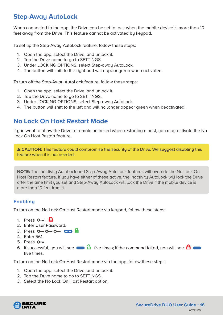### <span id="page-15-0"></span>**Step-Away AutoLock**

When connected to the app, the Drive can be set to lock when the mobile device is more than 10 feet away from the Drive. This feature cannot be activated by keypad.

To set up the Step-Away AutoLock feature, follow these steps:

- 1. Open the app, select the Drive, and unlock it.
- 2. Tap the Drive name to go to SETTINGS.
- 3. Under LOCKING OPTIONS, select Step-away AutoLock.
- 4. The button will shift to the right and will appear green when activated.

To turn off the Step-Away AutoLock feature, follow these steps:

- 1. Open the app, select the Drive, and unlock it.
- 2. Tap the Drive name to go to SETTINGS.
- 3. Under LOCKING OPTIONS, select Step-away AutoLock.
- 4. The button will shift to the left and will no longer appear green when deactivated.

### **No Lock On Host Restart Mode**

If you want to allow the Drive to remain unlocked when restarting a host, you may activate the No Lock On Host Restart feature.

**A CAUTION:** This feature could compromise the security of the Drive. We suggest disabling this feature when it is not needed.

**NOTE:** The Inactivity AutoLock and Step-Away AutoLock features will override the No Lock On Host Restart feature. If you have either of these active, the Inactivity AutoLock will lock the Drive after the time limit you set and Step-Away AutoLock will lock the Drive if the mobile device is more than 10 feet from it.

#### **Enabling**

To turn on the No Lock On Host Restart mode via keypad, follow these steps:

- 1. Press  $\mathbf{O}_{\mathbf{m}}$   $\mathbf{\Theta}$
- 2. Enter User Password.
- 3. Press  $0 0 0 0 = 0$
- 4. Enter 561.
- 5. Press  $O_{\overline{m}}$ .
- 6. If successful, you will see  $\blacksquare$  five times; if the command failed, you will see  $\blacksquare$ five times.

To turn on the No Lock On Host Restart mode via the app, follow these steps:

- 1. Open the app, select the Drive, and unlock it.
- 2. Tap the Drive name to go to SETTINGS.
- 3. Select the No Lock On Host Restart option.

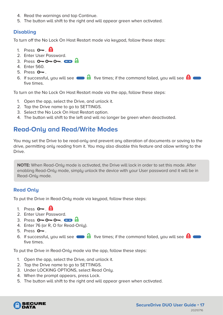- <span id="page-16-0"></span>4. Read the warnings and tap Continue.
- 5. The button will shift to the right and will appear green when activated.

#### **Disabling**

To turn off the No Lock On Host Restart mode via keypad, follow these steps:

- 1. Press  $\mathbf{O}$ <sub>7</sub>. **A**
- 2. Enter User Password.
- 3. Press  $O O O -$ .  $CD =$
- 4. Enter 560.
- 5. Press  $O_{\overline{m}}$ .
- 6. If successful, you will see  $\Box$  five times; if the command failed, you will see  $\Box$ five times.

To turn on the No Lock On Host Restart mode via the app, follow these steps:

- 1. Open the app, select the Drive, and unlock it.
- 2. Tap the Drive name to go to SETTINGS.
- 3. Select the No Lock On Host Restart option.
- 4. The button will shift to the left and will no longer be green when deactivated.

### **Read-Only and Read/Write Modes**

You may set the Drive to be read-only and prevent any alteration of documents or saving to the drive, permitting only reading from it. You may also disable this feature and allow writing to the Drive.

**NOTE:** When Read-Only mode is activated, the Drive will lock in order to set this mode. After enabling Read-Only mode, simply unlock the device with your User password and it will be in Read-Only mode.

#### **Read Only**

To put the Drive in Read-Only mode via keypad, follow these steps:

- 1. Press  $\mathbf{O}_{\mathbf{m}}$   $\mathbf{A}$
- 2. Enter User Password.
- 3. Press  $O O O -$ .  $CD =$
- 4. Enter 76 (or R, O for Read-Only).
- 5. Press  $O_{\overline{m}}$ .
- 6. If successful, you will see  $\blacksquare$  five times; if the command failed, you will see  $\blacksquare$ five times.

To put the Drive in Read-Only mode via the app, follow these steps:

- 1. Open the app, select the Drive, and unlock it.
- 2. Tap the Drive name to go to SETTINGS.
- 3. Under LOCKING OPTIONS, select Read Only.
- 4. When the prompt appears, press Lock.
- 5. The button will shift to the right and will appear green when activated.

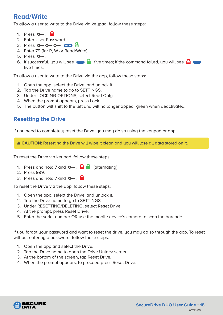### **Read/Write**

To allow a user to write to the Drive via keupad, follow these steps:

- 1. Press  $\mathbf{O}_{\mathbf{m}}$ .  $\mathbf{\Theta}$
- 2. Enter User Password.
- 3. Press  $O O O -$ .  $CD =$
- 4. Enter 79 (for R, W or Read/Write).
- 5. Press  $O_{\overline{m}}$ .
- 6. If successful, you will see  $\blacksquare$  five times; if the command failed, you will see  $\blacksquare$ five times.

To allow a user to write to the Drive via the app, follow these steps:

- 1. Open the app, select the Drive, and unlock it.
- 2. Tap the Drive name to go to SETTINGS.
- 3. Under LOCKING OPTIONS, select Read Only.
- 4. When the prompt appears, press Lock.
- 5. The button will shift to the left and will no longer appear green when deactivated.

#### **Resetting the Drive**

If you need to completely reset the Drive, you may do so using the keypad or app.

 **CAUTION:** Resetting the Drive will wipe it clean and you will lose all data stored on it.

To reset the Drive via keypad, follow these steps:

- 1. Press and hold 7 and  $\circ$ .  $\oplus$   $\oplus$  (alternating)
- 2. Press 999.
- 3. Press and hold 7 and  $\circ$ .

To reset the Drive via the app, follow these steps:

- 1. Open the app, select the Drive, and unlock it.
- 2. Tap the Drive name to go to SETTINGS.
- 3. Under RESETTING/DELETING, select Reset Drive.
- 4. At the prompt, press Reset Drive.
- 5. Enter the serial number OR use the mobile device's camera to scan the barcode.

If you forgot your password and want to reset the drive, you may do so through the app. To reset without entering a password, follow these steps:

- 1. Open the app and select the Drive.
- 2. Tap the Drive name to open the Drive Unlock screen.
- 3. At the bottom of the screen, tap Reset Drive.
- 4. When the prompt appears, to proceed press Reset Drive.

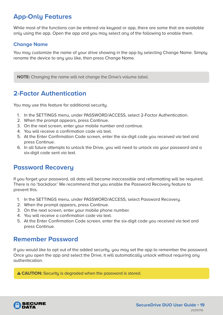# <span id="page-18-0"></span>**App-Only Features**

While most of the functions can be entered via keypad or app, there are some that are available only using the app. Open the app and you may select any of the following to enable them.

#### **Change Name**

You may customize the name of your drive showing in the app by selecting Change Name. Simply rename the device to any you like, then press Change Name.

**NOTE:** Changing the name will not change the Drive's volume label.

### **2-Factor Authentication**

You may use this feature for additional security.

- 1. In the SETTINGS menu, under PASSWORD/ACCESS, select 2-Factor Authentication.
- 2. When the prompt appears, press Continue.
- 3. On the next screen, enter your mobile number and continue.
- 4. You will receive a confirmation code via text.
- 5. At the Enter Confirmation Code screen, enter the six-digit code you received via text and press Continue.
- 6. In all future attempts to unlock the Drive, you will need to unlock via your password and a six-digit code sent via text.

### **Password Recovery**

If you forget your password, all data will become inaccessible and reformatting will be required. There is no 'backdoor.' We recommend that you enable the Password Recovery feature to prevent this.

- 1. In the SETTINGS menu, under PASSWORD/ACCESS, select Password Recovery.
- 2. When the prompt appears, press Continue.
- 3. On the next screen, enter your mobile phone number.
- 4. You will receive a confirmation code via text.
- 5. At the Enter Confirmation Code screen, enter the six-digit code you received via text and press Continue.

#### **Remember Password**

If you would like to opt out of the added security, you may set the app to remember the password. Once you open the app and select the Drive, it will automatically unlock without requiring any authentication.

**A CAUTION:** Securitu is degraded when the password is stored.

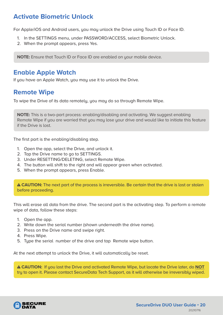### <span id="page-19-0"></span>**Activate Biometric Unlock**

For Apple/iOS and Android users, you may unlock the Drive using Touch ID or Face ID.

- 1. In the SETTINGS menu, under PASSWORD/ACCESS, select Biometric Unlock.
- 2. When the prompt appears, press Yes.

**NOTE:** Ensure that Touch ID or Face ID are enabled on your mobile device.

#### **Enable Apple Watch**

If you have an Apple Watch, you may use it to unlock the Drive.

### **Remote Wipe**

To wipe the Drive of its data remotely, you may do so through Remote Wipe.

**NOTE:** This is a two-part process: enabling/disabling and activating. We suggest enabling Remote Wipe if you are worried that you may lose your drive and would like to initiate this feature if the Drive is lost.

The first part is the enabling/disabling step.

- 1. Open the app, select the Drive, and unlock it.
- 2. Tap the Drive name to go to SETTINGS.
- 3. Under RESETTING/DELETING, select Remote Wipe.
- 4. The button will shift to the right and will appear green when activated.
- 5. When the prompt appears, press Enable.

 **CAUTION:** The next part of the process is irreversible. Be certain that the drive is lost or stolen before proceeding.

This will erase all data from the drive. The second part is the activating step. To perform a remote wipe of data, follow these steps:

- 1. Open the app.
- 2. Write down the serial number (shown underneath the drive name).
- 3. Press on the Drive name and swipe right.
- 4. Press Wipe.
- 5. Type the serial number of the drive and tap Remote wipe button.

At the next attempt to unlock the Drive, it will automatically be reset.

 **CAUTION:** If you lost the Drive and activated Remote Wipe, but locate the Drive later, do **NOT** try to open it. Please contact SecureData Tech Support, as it will otherwise be irreversibly wiped.

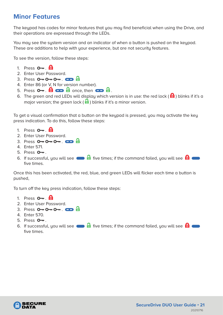### <span id="page-20-0"></span>**Minor Features**

The keypad has codes for minor features that you may find beneficial when using the Drive, and their operations are expressed through the LEDs.

You may see the system version and an indicator of when a button is pushed on the keypad. These are additions to help with your experience, but are not security features.

To see the version, follow these steps:

- 1. Press  $O_{\overline{m}}$   $\overline{H}$
- 2. Enter User Password.
- 3. Press  $O O O -$ .  $CD =$
- 4. Enter 86 (or V, N for version number).
- 5. Press . once, then .
- 6. The green and red LEDs will display which version is in use: the red lock ( $\bigoplus$ ) blinks if it's a major version; the green lock ( $\triangleq$ ) blinks if it's a minor version.

To get a visual confirmation that a button on the keypad is pressed, you may activate the key press indication. To do this, follow these steps:

- 1. Press  $O_{\mathbf{m}}$   $\mathbf{\Theta}$
- 2. Enter User Password.
- 3. Press  $O O O -$ .  $CD = \frac{1}{2}$
- 4. Enter 571.
- $5.$  Press  $O_{\overline{m}}$ .
- 6. If successful, you will see  $\blacksquare$  five times; if the command failed, you will see  $\blacksquare$ five times.

Once this has been activated, the red, blue, and green LEDs will flicker each time a button is pushed,

To turn off the key press indication, follow these steps:

- 1. Press  $\mathbf{O}_{\mathbf{m}}$   $\mathbf{H}$
- 2. Enter User Password.
- $3.$  Press  $0 \rightarrow 0 \rightarrow 0 \rightarrow 0$
- 4. Enter 570.
- 5. Press  $O_{\overline{a}}$ .
- 6. If successful, you will see  $\Box$  five times; if the command failed, you will see  $\Box$ five times.

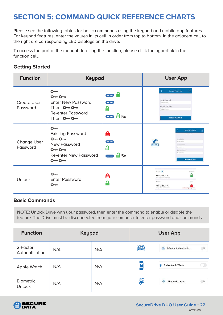# <span id="page-21-0"></span>**SECTION 5: COMMAND QUICK REFERENCE CHARTS**

Please see the following tables for basic commands using the keypad and mobile app features. For keypad features, enter the values in its cell in order from top to bottom. In the adjacent cell to the right are corresponding LED displays on the drive.

To access the part of the manual detailing the function, please click the hyperlink in the function cell.

#### **Getting Started**

| <b>Function</b>                | <b>Keypad</b>                                                                                                               |                                             | <b>User App</b>                                                                                                       |                                                                                                                                                      |
|--------------------------------|-----------------------------------------------------------------------------------------------------------------------------|---------------------------------------------|-----------------------------------------------------------------------------------------------------------------------|------------------------------------------------------------------------------------------------------------------------------------------------------|
| <b>Create User</b><br>Password | $O - r$<br>$0 - 0 -$<br><b>Enter New Password</b><br>Then $O - O -$<br><b>Re-enter Password</b><br>Then $O - O -$           | a an<br>a an<br>£<br>$\bullet$ $\bullet$ 5x | K<br>Create Pageword<br><b>Citiz-Simmax</b><br>Confirm Password<br>Cone Simother                                      | <b>Create Pasaword</b><br>$\left($<br><b>Create Password</b>                                                                                         |
| <b>Change User</b><br>Password | $\Omega$<br><b>Existing Password</b><br>$0 - 0 -$<br>New Password<br>$0 - 0 -$<br><b>Re-enter New Password</b><br>$0 - 0 -$ | 台<br>œ<br>А<br>$\bullet$ $\bullet$ 5x       | $\frac{1}{2}$                                                                                                         | Change Password<br>SEIGED-FR<br>Old Fassword<br><b>Director</b><br>June Patricks<br>Einrite-We<br>control Heavy<br>Case-Detroited<br>Change Password |
| <b>Unlock</b>                  | $\sim$<br><b>Enter Password</b><br>$O-$                                                                                     | А<br>$\ddot{\bullet}$                       | Name <b>O</b><br><b>SECUREDATA</b><br>S/N:SUNVISAYOUB0057<br><b>Name:</b><br><b>SECUREDATA</b><br>5/N:605504403000001 | Univision<br>Libration<br>Initializing Encryption.                                                                                                   |

#### **Basic Commands**

**NOTE:** Unlock Drive with your password, then enter the command to enable or disable the feature. The Drive must be disconnected from your computer to enter password and commands.

| <b>Function</b>                   | <b>Keypad</b> |     | <b>User App</b>    |                                            |  |
|-----------------------------------|---------------|-----|--------------------|--------------------------------------------|--|
| 2-Factor<br>Authentication        | N/A           | N/A | $rac{2FA}{\cdots}$ | <b>OB</b><br>晶<br>2-Factor Authentication  |  |
| Apple Watch                       | N/A           | N/A | P                  | m<br>Enable Apple Watch                    |  |
| <b>Biometric</b><br><b>Unlock</b> | N/A           | N/A | 办                  | 61<br>$\bigcup$<br><b>Biometric Unlock</b> |  |

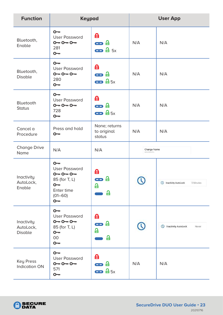| <b>Function</b>                           | <b>Keypad</b>                                                                                                       |                                        | <b>User App</b>           |                                           |
|-------------------------------------------|---------------------------------------------------------------------------------------------------------------------|----------------------------------------|---------------------------|-------------------------------------------|
| Bluetooth,<br>Enable                      | $O - r$<br><b>User Password</b><br>$0 - 0 - 0 -$<br>281<br>$O - r$                                                  | 台<br>æ a<br>$\bullet$ $\bullet$ 5x     | N/A                       | N/A                                       |
| Bluetooth,<br><b>Disable</b>              | $O - r$<br><b>User Password</b><br>$0 - 0 - 0 -$<br>280<br>$O - r$                                                  | 台<br>æ a<br>$\bullet$ $\bullet$ 5x     | N/A                       | N/A                                       |
| Bluetooth<br><b>Status</b>                | $O - r$<br><b>User Password</b><br>$0 - 0 - 0 -$<br>728<br>$O - r$                                                  | 台<br>æ a<br>$\bullet$ $\mathbf{a}$ 5x  | N/A                       | N/A                                       |
| Cancel a<br>Procedure                     | Press and hold<br>$\mathsf{O}\mathsf{m}$                                                                            | None; returns<br>to original<br>status | N/A                       | N/A                                       |
| <b>Change Drive</b><br>Name               | N/A                                                                                                                 | N/A                                    | Change Name<br>SECUREDATA |                                           |
| Inactivity<br>AutoLock,<br>Enable         | $O - r$<br><b>User Password</b><br>$0 - 0 - 0 -$<br>85 (for T, L)<br>$\sim$<br>Enter time<br>$(01 - 60)$<br>$O - r$ | 台<br>台<br>aa k<br>읍<br>읍               |                           | <b>B</b> Inactivity AutoLock<br>5 Minutes |
| Inactivity<br>AutoLock,<br><b>Disable</b> | $O - r$<br><b>User Password</b><br>$0 - 0 - 0 -$<br>85 (for T, L)<br>$O - r$<br>$00\,$<br>$O - r$                   | 台<br>$\mathbf{\Theta}$ a<br>a<br>읍     |                           | <sup>1</sup> Inactivity AutoLock<br>Never |
| Key Press<br><b>Indication ON</b>         | $O - r$<br><b>User Password</b><br>$0 - 0 - 0 -$<br>571<br>$O - r$                                                  | 台<br>e a<br>$\bullet$ $\bullet$ 5x     | N/A                       | N/A                                       |

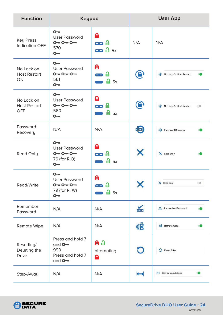| <b>Function</b>                                 | <b>Keypad</b>                                                               |                                    |                    | <b>User App</b>                            |
|-------------------------------------------------|-----------------------------------------------------------------------------|------------------------------------|--------------------|--------------------------------------------|
| <b>Key Press</b><br><b>Indication OFF</b>       | $O - r$<br><b>User Password</b><br>$0 - 0 - 0 -$<br>570<br>$\sim$           | 台<br>æ a<br>$\bullet$ $\bullet$ 5x | N/A                | N/A                                        |
| No Lock on<br><b>Host Restart</b><br>ON         | $O -$<br><b>User Password</b><br>$0 - 0 - 0 -$<br>561<br>$O - r$            | 台<br>æ a<br>$\mathbf{a}$ 5x        | $\mathbf \Theta$   | No Lock On Host Restart                    |
| No Lock on<br><b>Host Restart</b><br><b>OFF</b> | $O -$<br><b>User Password</b><br>$0 - 0 - 0 -$<br>560<br>$\overline{O}$     | 台<br>æ a<br>$\mathbf{a}$ 5x        | $\mathbf \Theta$   | No Lock On Host Restart<br>$\bigcirc$<br>ಾ |
| Password<br>Recovery                            | N/A                                                                         | N/A                                | $\frac{1}{2}$      | Password Recovery                          |
| Read Only                                       | $O - r$<br><b>User Password</b><br>$0 - 0 - 0 -$<br>76 (for R,O)<br>$O - r$ | 台<br>æ a<br>$\frac{1}{2}$ 5x       | X                  | <b>X</b> Read Only                         |
| Read/Write                                      | $O -$<br><b>User Password</b><br>$0 - 0 - 0 -$<br>79 (for R, W)<br>$O -$    | 台<br>$\frac{1}{2}$ 5x              |                    | X Read Only<br>ා                           |
| Remember<br>Password                            | N/A                                                                         | N/A                                | $\frac{1}{\cdots}$ | Remember Password                          |
| Remote Wipe                                     | N/A                                                                         | N/A                                | 小区                 | <b>N</b> Remote Wipe                       |
| Resetting/<br>Deleting the<br><b>Drive</b>      | Press and hold 7<br>and $O -$<br>999<br>Press and hold 7<br>and $O -$       | 自自<br>alternating<br>А             | O                  | Reset Drive                                |
| Step-Away                                       | N/A                                                                         | N/A                                | $\mapsto$          | Step-away AutoLock                         |